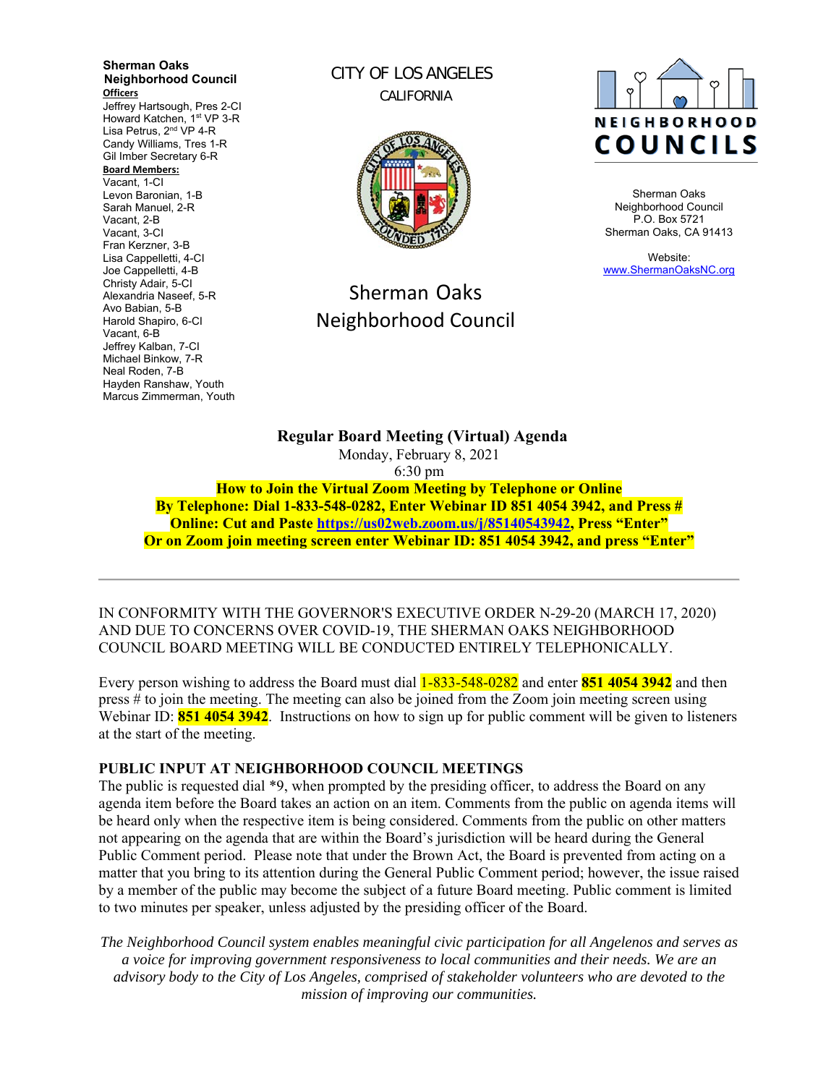**Sherman Oaks Neighborhood Council Officers**  Jeffrey Hartsough, Pres 2-CI Howard Katchen, 1<sup>st</sup> VP 3-R Lisa Petrus, 2<sup>nd</sup> VP 4-R Candy Williams, Tres 1-R Gil Imber Secretary 6-R **Board Members:** Vacant, 1-CI Levon Baronian, 1-B Sarah Manuel, 2-R Vacant, 2-B Vacant, 3-CI Fran Kerzner, 3-B Lisa Cappelletti, 4-CI Joe Cappelletti, 4-B Christy Adair, 5-CI Alexandria Naseef, 5-R Avo Babian, 5-B Harold Shapiro, 6-CI Vacant, 6-B Jeffrey Kalban, 7-CI Michael Binkow, 7-R Neal Roden, 7-B Hayden Ranshaw, Youth Marcus Zimmerman, Youth

CITY OF LOS ANGELES CALIFORNIA



# Sherman Oaks Neighborhood Council



Sherman Oaks Neighborhood Council P.O. Box 5721 Sherman Oaks, CA 91413

Website: www.ShermanOaksNC.org

**Regular Board Meeting (Virtual) Agenda**  Monday, February 8, 2021 6:30 pm **How to Join the Virtual Zoom Meeting by Telephone or Online By Telephone: Dial 1-833-548-0282, Enter Webinar ID 851 4054 3942, and Press #** 

**Online: Cut and Paste https://us02web.zoom.us/j/85140543942, Press "Enter" Or on Zoom join meeting screen enter Webinar ID: 851 4054 3942, and press "Enter"** 

IN CONFORMITY WITH THE GOVERNOR'S EXECUTIVE ORDER N-29-20 (MARCH 17, 2020) AND DUE TO CONCERNS OVER COVID-19, THE SHERMAN OAKS NEIGHBORHOOD COUNCIL BOARD MEETING WILL BE CONDUCTED ENTIRELY TELEPHONICALLY.

Every person wishing to address the Board must dial 1-833-548-0282 and enter **851 4054 3942** and then press # to join the meeting. The meeting can also be joined from the Zoom join meeting screen using Webinar ID: **851 4054 3942**. Instructions on how to sign up for public comment will be given to listeners at the start of the meeting.

## **PUBLIC INPUT AT NEIGHBORHOOD COUNCIL MEETINGS**

The public is requested dial \*9, when prompted by the presiding officer, to address the Board on any agenda item before the Board takes an action on an item. Comments from the public on agenda items will be heard only when the respective item is being considered. Comments from the public on other matters not appearing on the agenda that are within the Board's jurisdiction will be heard during the General Public Comment period. Please note that under the Brown Act, the Board is prevented from acting on a matter that you bring to its attention during the General Public Comment period; however, the issue raised by a member of the public may become the subject of a future Board meeting. Public comment is limited to two minutes per speaker, unless adjusted by the presiding officer of the Board.

*The Neighborhood Council system enables meaningful civic participation for all Angelenos and serves as a voice for improving government responsiveness to local communities and their needs. We are an advisory body to the City of Los Angeles, comprised of stakeholder volunteers who are devoted to the mission of improving our communities.*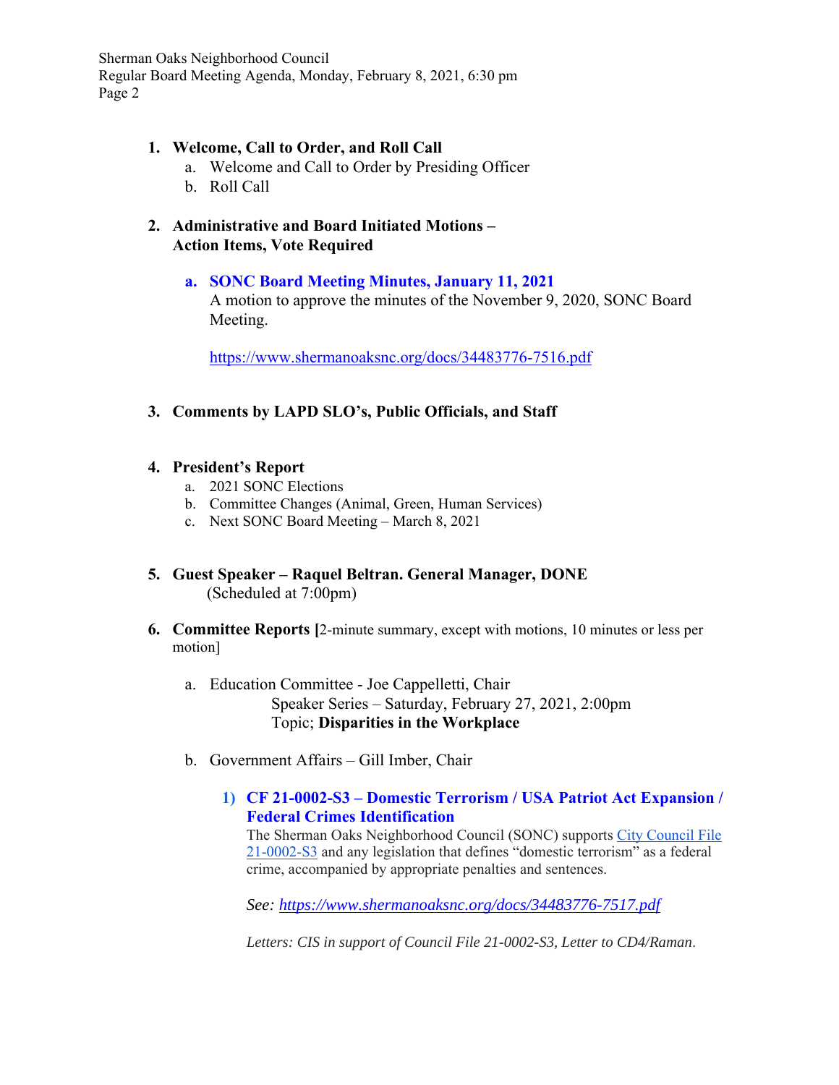## **1. Welcome, Call to Order, and Roll Call**

- a. Welcome and Call to Order by Presiding Officer
- b. Roll Call
- **2. Administrative and Board Initiated Motions Action Items, Vote Required**

# **a. SONC Board Meeting Minutes, January 11, 2021**

A motion to approve the minutes of the November 9, 2020, SONC Board Meeting.

https://www.shermanoaksnc.org/docs/34483776-7516.pdf

**3. Comments by LAPD SLO's, Public Officials, and Staff**

# **4. President's Report**

- a. 2021 SONC Elections
- b. Committee Changes (Animal, Green, Human Services)
- c. Next SONC Board Meeting March 8, 2021
- **5. Guest Speaker Raquel Beltran. General Manager, DONE** (Scheduled at 7:00pm)
- **6. Committee Reports [**2-minute summary, except with motions, 10 minutes or less per motion]
	- a. Education Committee Joe Cappelletti, Chair Speaker Series – Saturday, February 27, 2021, 2:00pm Topic; **Disparities in the Workplace**
	- b. Government Affairs Gill Imber, Chair
		- **1) CF 21-0002-S3 Domestic Terrorism / USA Patriot Act Expansion / Federal Crimes Identification**

The Sherman Oaks Neighborhood Council (SONC) supports City Council File 21-0002-S3 and any legislation that defines "domestic terrorism" as a federal crime, accompanied by appropriate penalties and sentences.

*See: https://www.shermanoaksnc.org/docs/34483776-7517.pdf*

*Letters: CIS in support of Council File 21-0002-S3, Letter to CD4/Raman*.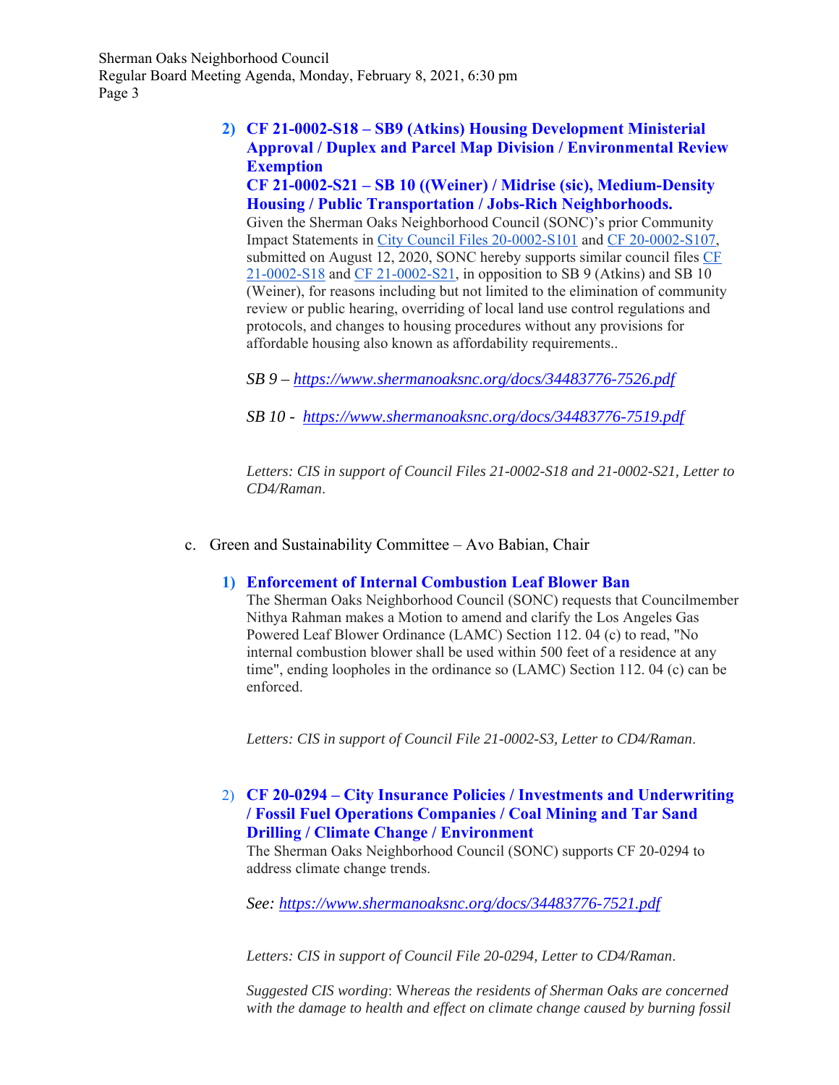# **2) CF 21-0002-S18 – SB9 (Atkins) Housing Development Ministerial Approval / Duplex and Parcel Map Division / Environmental Review Exemption**

**CF 21-0002-S21 – SB 10 ((Weiner) / Midrise (sic), Medium-Density Housing / Public Transportation / Jobs-Rich Neighborhoods.**  Given the Sherman Oaks Neighborhood Council (SONC)'s prior Community Impact Statements in City Council Files 20-0002-S101 and CF 20-0002-S107, submitted on August 12, 2020, SONC hereby supports similar council files CF 21-0002-S18 and CF 21-0002-S21, in opposition to SB 9 (Atkins) and SB 10 (Weiner), for reasons including but not limited to the elimination of community review or public hearing, overriding of local land use control regulations and protocols, and changes to housing procedures without any provisions for affordable housing also known as affordability requirements..

*SB 9 – https://www.shermanoaksnc.org/docs/34483776-7526.pdf*

*SB 10 - https://www.shermanoaksnc.org/docs/34483776-7519.pdf*

*Letters: CIS in support of Council Files 21-0002-S18 and 21-0002-S21, Letter to CD4/Raman*.

c. Green and Sustainability Committee – Avo Babian, Chair

#### **1) Enforcement of Internal Combustion Leaf Blower Ban**

The Sherman Oaks Neighborhood Council (SONC) requests that Councilmember Nithya Rahman makes a Motion to amend and clarify the Los Angeles Gas Powered Leaf Blower Ordinance (LAMC) Section 112. 04 (c) to read, "No internal combustion blower shall be used within 500 feet of a residence at any time", ending loopholes in the ordinance so (LAMC) Section 112. 04 (c) can be enforced.

*Letters: CIS in support of Council File 21-0002-S3, Letter to CD4/Raman*.

## 2) **CF 20-0294 – City Insurance Policies / Investments and Underwriting / Fossil Fuel Operations Companies / Coal Mining and Tar Sand Drilling / Climate Change / Environment**

The Sherman Oaks Neighborhood Council (SONC) supports CF 20-0294 to address climate change trends.

*See: https://www.shermanoaksnc.org/docs/34483776-7521.pdf*

*Letters: CIS in support of Council File 20-0294, Letter to CD4/Raman*.

*Suggested CIS wording*: W*hereas the residents of Sherman Oaks are concerned with the damage to health and effect on climate change caused by burning fossil*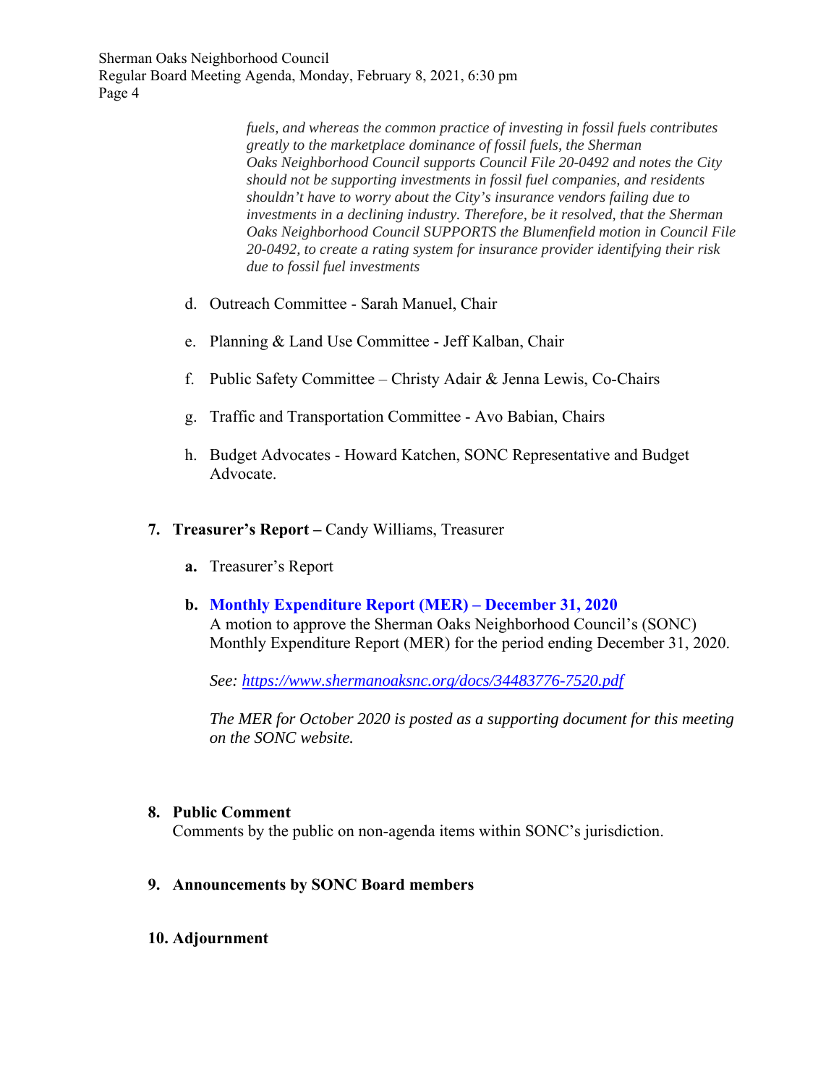> *fuels, and whereas the common practice of investing in fossil fuels contributes greatly to the marketplace dominance of fossil fuels, the Sherman Oaks Neighborhood Council supports Council File 20-0492 and notes the City should not be supporting investments in fossil fuel companies, and residents shouldn't have to worry about the City's insurance vendors failing due to investments in a declining industry. Therefore, be it resolved, that the Sherman Oaks Neighborhood Council SUPPORTS the Blumenfield motion in Council File 20-0492, to create a rating system for insurance provider identifying their risk due to fossil fuel investments*

- d. Outreach Committee Sarah Manuel, Chair
- e. Planning & Land Use Committee Jeff Kalban, Chair
- f. Public Safety Committee Christy Adair & Jenna Lewis, Co-Chairs
- g. Traffic and Transportation Committee Avo Babian, Chairs
- h. Budget Advocates Howard Katchen, SONC Representative and Budget Advocate.
- **7. Treasurer's Report** Candy Williams, Treasurer
	- **a.** Treasurer's Report
	- **b. Monthly Expenditure Report (MER) December 31, 2020**

A motion to approve the Sherman Oaks Neighborhood Council's (SONC) Monthly Expenditure Report (MER) for the period ending December 31, 2020.

*See: https://www.shermanoaksnc.org/docs/34483776-7520.pdf*

*The MER for October 2020 is posted as a supporting document for this meeting on the SONC website.* 

#### **8. Public Comment**

Comments by the public on non-agenda items within SONC's jurisdiction.

- **9. Announcements by SONC Board members**
- **10. Adjournment**